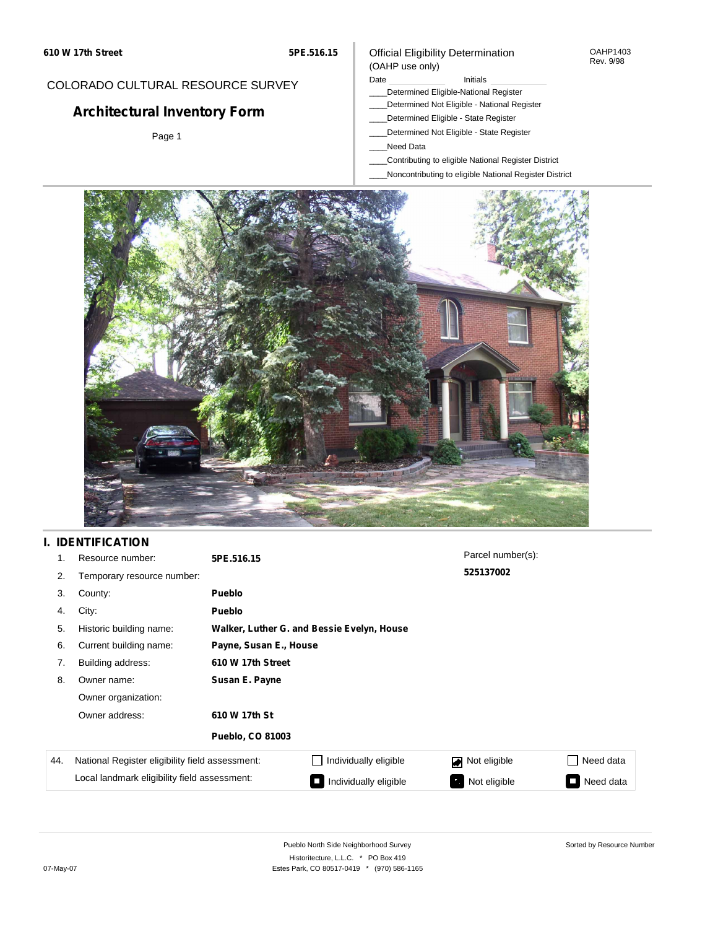#### OAHP1403 Rev. 9/98

## COLORADO CULTURAL RESOURCE SURVEY

# **Architectural Inventory Form**

Page 1

### Official Eligibility Determination (OAHP use only)

#### Date **Initials** Initials

- \_\_\_\_Determined Eligible-National Register
- \_\_\_\_Determined Not Eligible National Register
- \_\_\_\_Determined Eligible State Register
- \_\_\_\_Determined Not Eligible State Register
- \_\_\_\_Need Data
- \_\_\_\_Contributing to eligible National Register District
- \_\_\_\_Noncontributing to eligible National Register District



## **I. IDENTIFICATION**

| 1.  | Resource number:                                | 5PE.516.15              |                                            | Parcel number(s): |                                       |  |  |  |  |
|-----|-------------------------------------------------|-------------------------|--------------------------------------------|-------------------|---------------------------------------|--|--|--|--|
| 2.  | Temporary resource number:                      |                         |                                            | 525137002         |                                       |  |  |  |  |
| 3.  | County:                                         | <b>Pueblo</b>           |                                            |                   |                                       |  |  |  |  |
| 4.  | City:                                           | <b>Pueblo</b>           |                                            |                   |                                       |  |  |  |  |
| 5.  | Historic building name:                         |                         | Walker, Luther G. and Bessie Evelyn, House |                   |                                       |  |  |  |  |
| 6.  | Current building name:                          |                         | Payne, Susan E., House                     |                   |                                       |  |  |  |  |
| 7.  | Building address:                               | 610 W 17th Street       |                                            |                   |                                       |  |  |  |  |
| 8.  | Owner name:                                     | Susan E. Payne          |                                            |                   |                                       |  |  |  |  |
|     | Owner organization:                             |                         |                                            |                   |                                       |  |  |  |  |
|     | Owner address:                                  | 610 W 17th St           |                                            |                   |                                       |  |  |  |  |
|     |                                                 | <b>Pueblo, CO 81003</b> |                                            |                   |                                       |  |  |  |  |
| 44. | National Register eligibility field assessment: |                         | Individually eligible                      | Not eligible      | Need data                             |  |  |  |  |
|     | Local landmark eligibility field assessment:    |                         | Individually eligible                      | Not eligible      | Need data<br>$\overline{\phantom{a}}$ |  |  |  |  |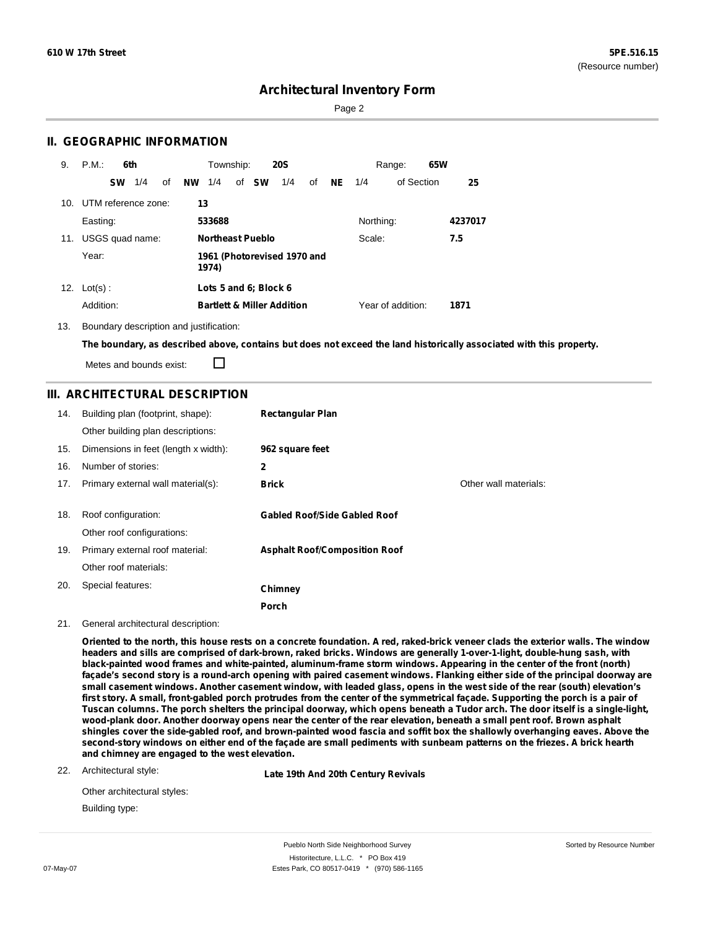Sorted by Resource Number

## **Architectural Inventory Form**

Page 2

### **II. GEOGRAPHIC INFORMATION**

| 9.  | P.M.                    | 6th |    |           | Township: |                                       | <b>20S</b> |    |           |           | Range:            | 65W |         |
|-----|-------------------------|-----|----|-----------|-----------|---------------------------------------|------------|----|-----------|-----------|-------------------|-----|---------|
|     | <b>SW</b>               | 1/4 | οf | <b>NW</b> | 1/4       | of <b>SW</b>                          | 1/4        | of | <b>NE</b> | 1/4       | of Section        |     | 25      |
|     | 10. UTM reference zone: |     |    | 13        |           |                                       |            |    |           |           |                   |     |         |
|     | Easting:                |     |    |           | 533688    |                                       |            |    |           | Northing: |                   |     | 4237017 |
| 11. | USGS quad name:         |     |    |           |           | Northeast Pueblo                      |            |    |           | Scale:    |                   |     | 7.5     |
|     | Year:                   |     |    |           | 1974)     | 1961 (Photorevised 1970 and           |            |    |           |           |                   |     |         |
|     | 12. $Lot(s)$ :          |     |    |           |           | Lots 5 and 6; Block 6                 |            |    |           |           |                   |     |         |
|     | Addition:               |     |    |           |           | <b>Bartlett &amp; Miller Addition</b> |            |    |           |           | Year of addition: |     | 1871    |

13. Boundary description and justification:

The boundary, as described above, contains but does not exceed the land historically associated with this property.

П Metes and bounds exist:

### **III. ARCHITECTURAL DESCRIPTION**

| 14. | Building plan (footprint, shape):<br>Other building plan descriptions: | <b>Rectangular Plan</b>              |                       |
|-----|------------------------------------------------------------------------|--------------------------------------|-----------------------|
| 15. | Dimensions in feet (length x width):                                   | 962 square feet                      |                       |
| 16. | Number of stories:                                                     | 2                                    |                       |
| 17. | Primary external wall material(s):                                     | <b>Brick</b>                         | Other wall materials: |
| 18. | Roof configuration:                                                    | <b>Gabled Roof/Side Gabled Roof</b>  |                       |
|     | Other roof configurations:                                             |                                      |                       |
| 19. | Primary external roof material:                                        | <b>Asphalt Roof/Composition Roof</b> |                       |
|     | Other roof materials:                                                  |                                      |                       |
| 20. | Special features:                                                      | Chimney                              |                       |
|     |                                                                        | <b>Porch</b>                         |                       |

#### 21. General architectural description:

Oriented to the north, this house rests on a concrete foundation. A red, raked-brick veneer clads the exterior walls. The window headers and sills are comprised of dark-brown, raked bricks. Windows are generally 1-over-1-light, double-hung sash, with black-painted wood frames and white-painted, aluminum-frame storm windows. Appearing in the center of the front (north) façade's second story is a round-arch opening with paired casement windows. Flanking either side of the principal doorway are small casement windows. Another casement window, with leaded glass, opens in the west side of the rear (south) elevation's first story. A small, front-gabled porch protrudes from the center of the symmetrical façade. Supporting the porch is a pair of Tuscan columns. The porch shelters the principal doorway, which opens beneath a Tudor arch. The door itself is a single-light, wood-plank door. Another doorway opens near the center of the rear elevation, beneath a small pent roof. Brown asphalt shingles cover the side-gabled roof, and brown-painted wood fascia and soffit box the shallowly overhanging eaves. Above the second-story windows on either end of the façade are small pediments with sunbeam patterns on the friezes. A brick hearth **and chimney are engaged to the west elevation.**

#### 22. Architectural style:

**Late 19th And 20th Century Revivals**

| Other architectural styles: |
|-----------------------------|
| Building type:              |

Pueblo North Side Neighborhood Survey Historitecture, L.L.C. \* PO Box 419 07-May-07 **Estes Park, CO 80517-0419** \* (970) 586-1165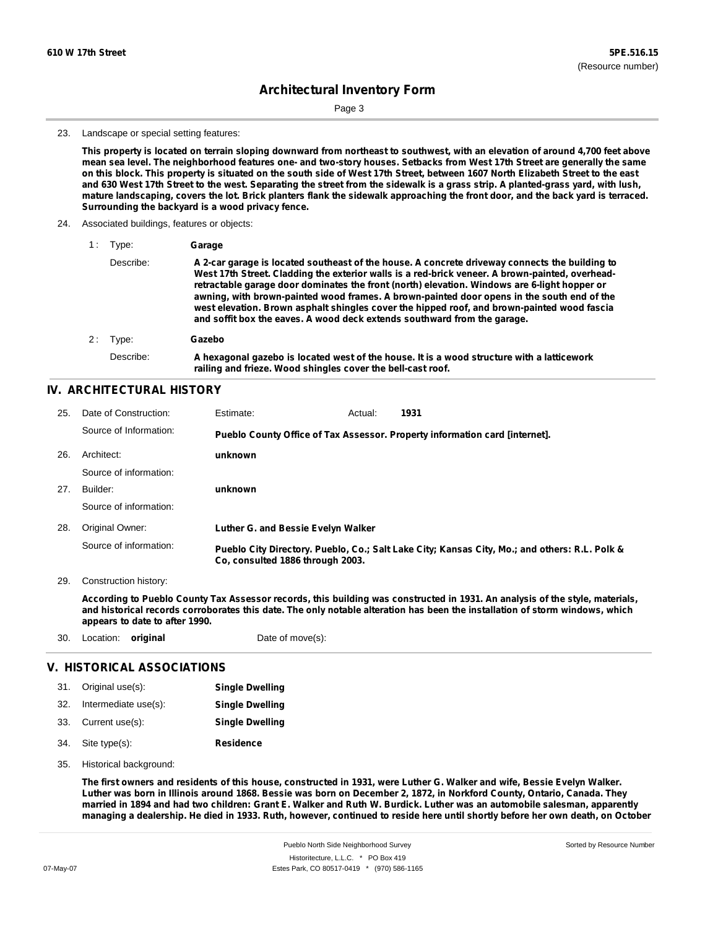Page 3

#### 23. Landscape or special setting features:

This property is located on terrain sloping downward from northeast to southwest, with an elevation of around 4,700 feet above mean sea level. The neighborhood features one- and two-story houses. Setbacks from West 17th Street are generally the same on this block. This property is situated on the south side of West 17th Street, between 1607 North Elizabeth Street to the east and 630 West 17th Street to the west. Separating the street from the sidewalk is a grass strip. A planted-grass yard, with lush, mature landscaping, covers the lot. Brick planters flank the sidewalk approaching the front door, and the back yard is terraced. **Surrounding the backyard is a wood privacy fence.**

24. Associated buildings, features or objects:

| Type:     | Garage                                                                                                                                                                                                                                                                                                                                                                                                                                                                                                                                                                     |
|-----------|----------------------------------------------------------------------------------------------------------------------------------------------------------------------------------------------------------------------------------------------------------------------------------------------------------------------------------------------------------------------------------------------------------------------------------------------------------------------------------------------------------------------------------------------------------------------------|
| Describe: | A 2-car garage is located southeast of the house. A concrete driveway connects the building to<br>West 17th Street. Cladding the exterior walls is a red-brick veneer. A brown-painted, overhead-<br>retractable garage door dominates the front (north) elevation. Windows are 6-light hopper or<br>awning, with brown-painted wood frames. A brown-painted door opens in the south end of the<br>west elevation. Brown asphalt shingles cover the hipped roof, and brown-painted wood fascia<br>and soffit box the eaves. A wood deck extends southward from the garage. |
| Type:     | Gazebo                                                                                                                                                                                                                                                                                                                                                                                                                                                                                                                                                                     |
| Describe: | A hexagonal gazebo is located west of the house. It is a wood structure with a latticework<br>railing and frieze. Wood shingles cover the bell-cast roof.                                                                                                                                                                                                                                                                                                                                                                                                                  |

### **IV. ARCHITECTURAL HISTORY**

| 25. | Date of Construction:  | Estimate:                          | Actual: | 1931                                                                                          |
|-----|------------------------|------------------------------------|---------|-----------------------------------------------------------------------------------------------|
|     | Source of Information: |                                    |         | Pueblo County Office of Tax Assessor. Property information card [internet].                   |
| 26. | Architect:             | unknown                            |         |                                                                                               |
|     | Source of information: |                                    |         |                                                                                               |
| 27. | Builder:               | unknown                            |         |                                                                                               |
|     | Source of information: |                                    |         |                                                                                               |
| 28. | Original Owner:        | Luther G. and Bessie Evelyn Walker |         |                                                                                               |
|     | Source of information: | Co, consulted 1886 through 2003.   |         | Pueblo City Directory. Pueblo, Co.; Salt Lake City; Kansas City, Mo.; and others: R.L. Polk & |

29. Construction history:

According to Pueblo County Tax Assessor records, this building was constructed in 1931. An analysis of the style, materials, and historical records corroborates this date. The only notable alteration has been the installation of storm windows, which **appears to date to after 1990.**

30. Location: **original** Date of move(s):

### **V. HISTORICAL ASSOCIATIONS**

|     | 31. Original use(s): | <b>Single Dwelling</b> |
|-----|----------------------|------------------------|
| 32. | Intermediate use(s): | <b>Single Dwelling</b> |
|     | 33. Current use(s):  | <b>Single Dwelling</b> |
|     | 34. Site type(s):    | <b>Residence</b>       |

35. Historical background:

The first owners and residents of this house, constructed in 1931, were Luther G. Walker and wife, Bessie Evelyn Walker. Luther was born in Illinois around 1868. Bessie was born on December 2, 1872, in Norkford County, Ontario, Canada. They married in 1894 and had two children: Grant E. Walker and Ruth W. Burdick. Luther was an automobile salesman, apparently managing a dealership. He died in 1933. Ruth, however, continued to reside here until shortly before her own death, on October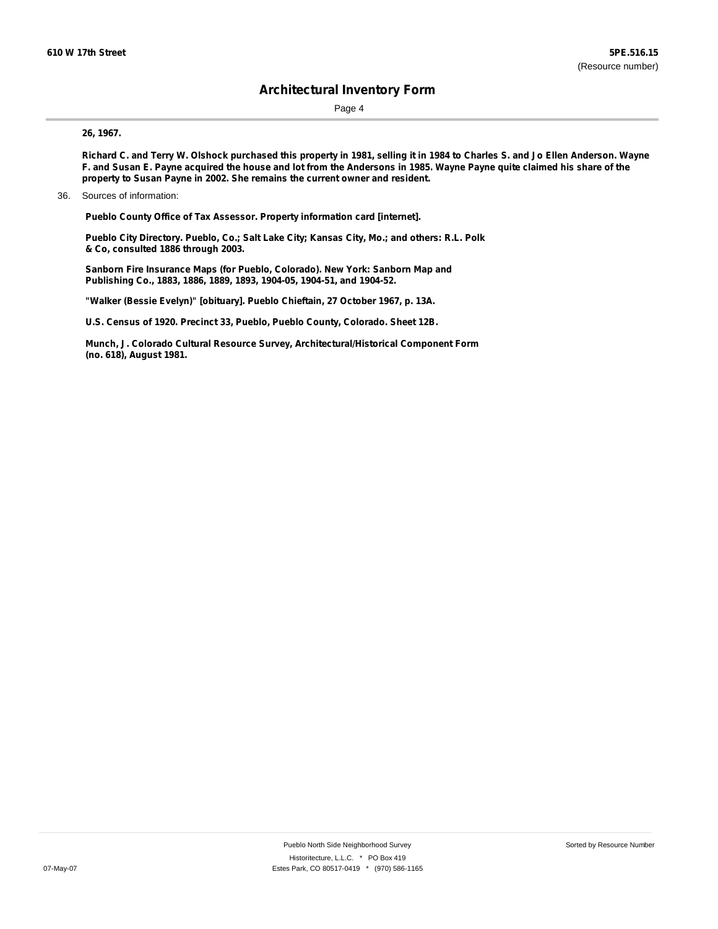Page 4

#### **26, 1967.**

Richard C. and Terry W. Olshock purchased this property in 1981, selling it in 1984 to Charles S. and Jo Ellen Anderson. Wayne F. and Susan E. Payne acquired the house and lot from the Andersons in 1985. Wayne Payne quite claimed his share of the **property to Susan Payne in 2002. She remains the current owner and resident.**

**Pueblo County Office of Tax Assessor. Property information card [internet].**

**Pueblo City Directory. Pueblo, Co.; Salt Lake City; Kansas City, Mo.; and others: R.L. Polk & Co, consulted 1886 through 2003.**

**Sanborn Fire Insurance Maps (for Pueblo, Colorado). New York: Sanborn Map and Publishing Co., 1883, 1886, 1889, 1893, 1904-05, 1904-51, and 1904-52.**

**"Walker (Bessie Evelyn)" [obituary]. Pueblo Chieftain, 27 October 1967, p. 13A.**

**U.S. Census of 1920. Precinct 33, Pueblo, Pueblo County, Colorado. Sheet 12B.**

**Munch, J. Colorado Cultural Resource Survey, Architectural/Historical Component Form (no. 618), August 1981.**

<sup>36.</sup> Sources of information: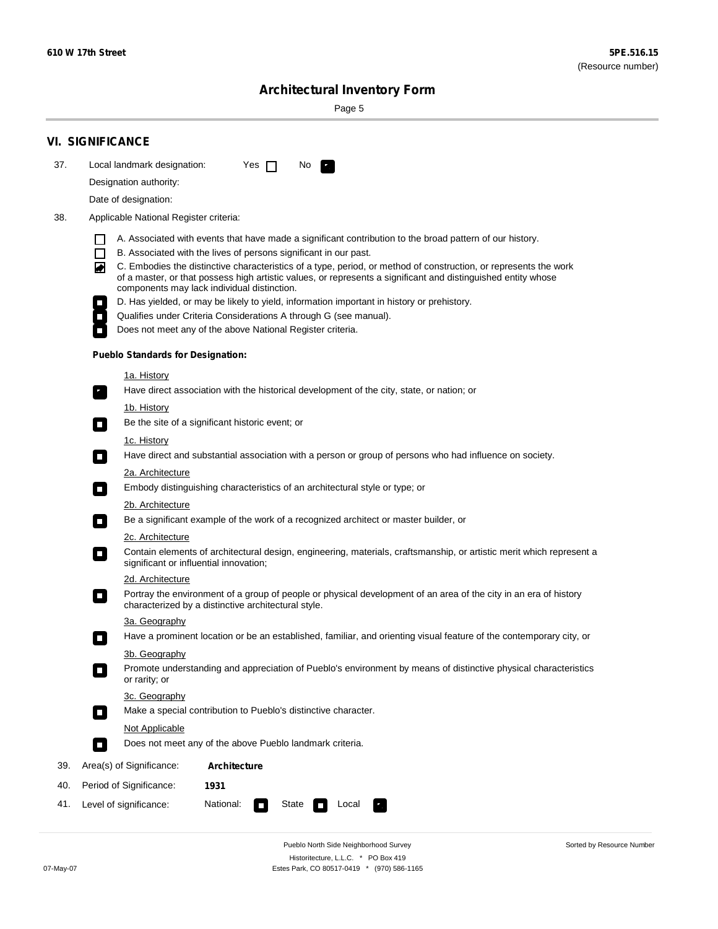Sorted by Resource Number

# **Architectural Inventory Form**

Page 5

|     | <b>VI. SIGNIFICANCE</b>                                                                                                                                                                                                                                                               |
|-----|---------------------------------------------------------------------------------------------------------------------------------------------------------------------------------------------------------------------------------------------------------------------------------------|
| 37. | Local landmark designation:<br>Yes $\Box$<br>No<br><b>PA</b>                                                                                                                                                                                                                          |
|     | Designation authority:                                                                                                                                                                                                                                                                |
|     | Date of designation:                                                                                                                                                                                                                                                                  |
| 38. | Applicable National Register criteria:                                                                                                                                                                                                                                                |
|     | A. Associated with events that have made a significant contribution to the broad pattern of our history.                                                                                                                                                                              |
|     | B. Associated with the lives of persons significant in our past.<br>ΙI                                                                                                                                                                                                                |
|     | C. Embodies the distinctive characteristics of a type, period, or method of construction, or represents the work<br>◙<br>of a master, or that possess high artistic values, or represents a significant and distinguished entity whose<br>components may lack individual distinction. |
|     | D. Has yielded, or may be likely to yield, information important in history or prehistory.                                                                                                                                                                                            |
|     | Qualifies under Criteria Considerations A through G (see manual).                                                                                                                                                                                                                     |
|     | Does not meet any of the above National Register criteria.                                                                                                                                                                                                                            |
|     | <b>Pueblo Standards for Designation:</b>                                                                                                                                                                                                                                              |
|     | <u>1a. History</u>                                                                                                                                                                                                                                                                    |
|     | Have direct association with the historical development of the city, state, or nation; or<br>$\mathbf{r}_\perp$                                                                                                                                                                       |
|     | <u>1b. History</u>                                                                                                                                                                                                                                                                    |
|     | Be the site of a significant historic event; or                                                                                                                                                                                                                                       |
|     | 1c. History<br>Have direct and substantial association with a person or group of persons who had influence on society.<br>$\Box$                                                                                                                                                      |
|     | 2a. Architecture                                                                                                                                                                                                                                                                      |
|     | Embody distinguishing characteristics of an architectural style or type; or<br>$\Box$                                                                                                                                                                                                 |
|     | 2b. Architecture                                                                                                                                                                                                                                                                      |
|     | Be a significant example of the work of a recognized architect or master builder, or<br>$\overline{\phantom{a}}$                                                                                                                                                                      |
|     | 2c. Architecture                                                                                                                                                                                                                                                                      |
|     | Contain elements of architectural design, engineering, materials, craftsmanship, or artistic merit which represent a<br>О<br>significant or influential innovation;                                                                                                                   |
|     | 2d. Architecture                                                                                                                                                                                                                                                                      |
|     | Portray the environment of a group of people or physical development of an area of the city in an era of history<br>$\Box$<br>characterized by a distinctive architectural style.                                                                                                     |
|     | 3a. Geography                                                                                                                                                                                                                                                                         |
|     | Have a prominent location or be an established, familiar, and orienting visual feature of the contemporary city, or                                                                                                                                                                   |
|     | 3b. Geography                                                                                                                                                                                                                                                                         |
|     | Promote understanding and appreciation of Pueblo's environment by means of distinctive physical characteristics<br>$\overline{\phantom{a}}$<br>or rarity; or                                                                                                                          |
|     | 3c. Geography                                                                                                                                                                                                                                                                         |
|     | Make a special contribution to Pueblo's distinctive character.<br>$\mathcal{L}_{\mathcal{A}}$                                                                                                                                                                                         |
|     | Not Applicable                                                                                                                                                                                                                                                                        |
|     | Does not meet any of the above Pueblo landmark criteria.<br>$\overline{\phantom{a}}$                                                                                                                                                                                                  |
| 39. | Area(s) of Significance:<br><b>Architecture</b>                                                                                                                                                                                                                                       |
| 40. | Period of Significance:<br>1931                                                                                                                                                                                                                                                       |
| 41. | National:<br>Level of significance:<br>State<br>Local<br>$\overline{\phantom{a}}$                                                                                                                                                                                                     |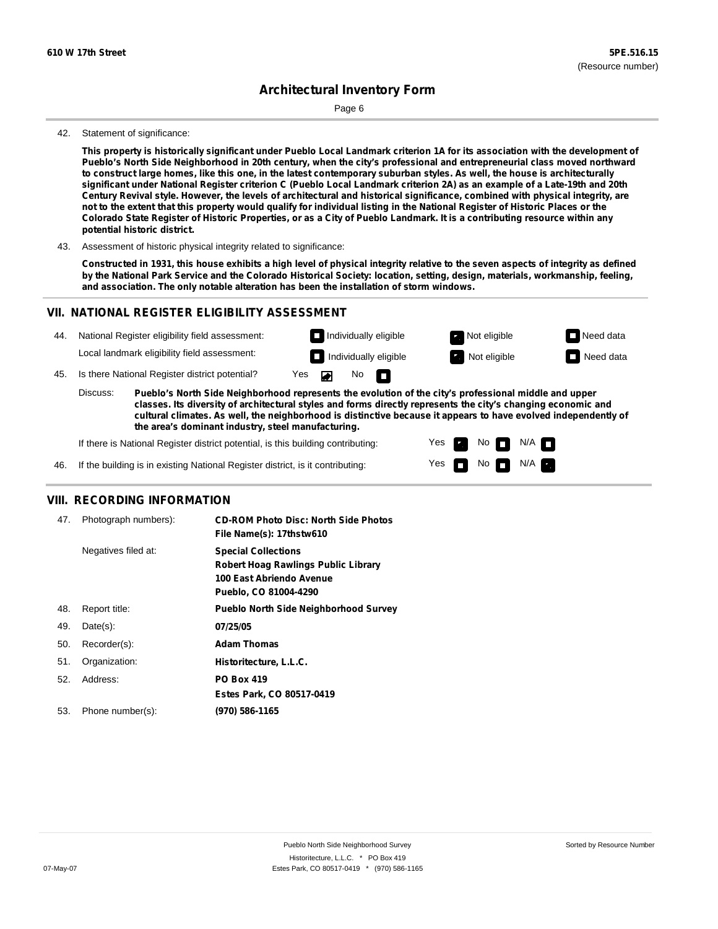Page 6

#### 42. Statement of significance:

This property is historically significant under Pueblo Local Landmark criterion 1A for its association with the development of Pueblo's North Side Neighborhood in 20th century, when the city's professional and entrepreneurial class moved northward to construct large homes, like this one, in the latest contemporary suburban styles. As well, the house is architecturally significant under National Register criterion C (Pueblo Local Landmark criterion 2A) as an example of a Late-19th and 20th Century Revival style. However, the levels of architectural and historical significance, combined with physical integrity, are not to the extent that this property would qualify for individual listing in the National Register of Historic Places or the Colorado State Register of Historic Properties, or as a City of Pueblo Landmark. It is a contributing resource within any **potential historic district.**

43. Assessment of historic physical integrity related to significance:

Constructed in 1931, this house exhibits a high level of physical integrity relative to the seven aspects of integrity as defined by the National Park Service and the Colorado Historical Society: location, setting, design, materials, workmanship, feeling, **and association. The only notable alteration has been the installation of storm windows.**

### **VII. NATIONAL REGISTER ELIGIBILITY ASSESSMENT**

| 44. |          | National Register eligibility field assessment:                                                       |  |                    | Individually eligible        | Not eligible | $\Box$ Need data |
|-----|----------|-------------------------------------------------------------------------------------------------------|--|--------------------|------------------------------|--------------|------------------|
|     |          | Local landmark eligibility field assessment:                                                          |  |                    | $\Box$ Individually eligible | Not eligible | $\Box$ Need data |
| 45. |          | Is there National Register district potential?                                                        |  | Yes $\blacksquare$ | No $\Box$                    |              |                  |
|     | Discuss: | Pueblo's North Side Neighborhood represents the evolution of the city's professional middle and upper |  |                    |                              |              |                  |

**classes. Its diversity of architectural styles and forms directly represents the city's changing economic and cultural climates. As well, the neighborhood is distinctive because it appears to have evolved independently of the area's dominant industry, steel manufacturing.**

Yes

Yes **not** Not N/A

Non<sub>d</sub> N/A

If there is National Register district potential, is this building contributing:

46. If the building is in existing National Register district, is it contributing:

### **VIII. RECORDING INFORMATION**

| 47. | Photograph numbers): | <b>CD-ROM Photo Disc: North Side Photos</b><br>File Name(s): 17thstw610                                                       |
|-----|----------------------|-------------------------------------------------------------------------------------------------------------------------------|
|     | Negatives filed at:  | <b>Special Collections</b><br><b>Robert Hoag Rawlings Public Library</b><br>100 East Abriendo Avenue<br>Pueblo, CO 81004-4290 |
| 48. | Report title:        | <b>Pueblo North Side Neighborhood Survey</b>                                                                                  |
| 49. | $Date(s)$ :          | 07/25/05                                                                                                                      |
| 50. | Recorder(s):         | <b>Adam Thomas</b>                                                                                                            |
| 51. | Organization:        | Historitecture, L.L.C.                                                                                                        |
| 52. | Address:             | <b>PO Box 419</b>                                                                                                             |
|     |                      | Estes Park, CO 80517-0419                                                                                                     |
| 53. | Phone number(s):     | (970) 586-1165                                                                                                                |
|     |                      |                                                                                                                               |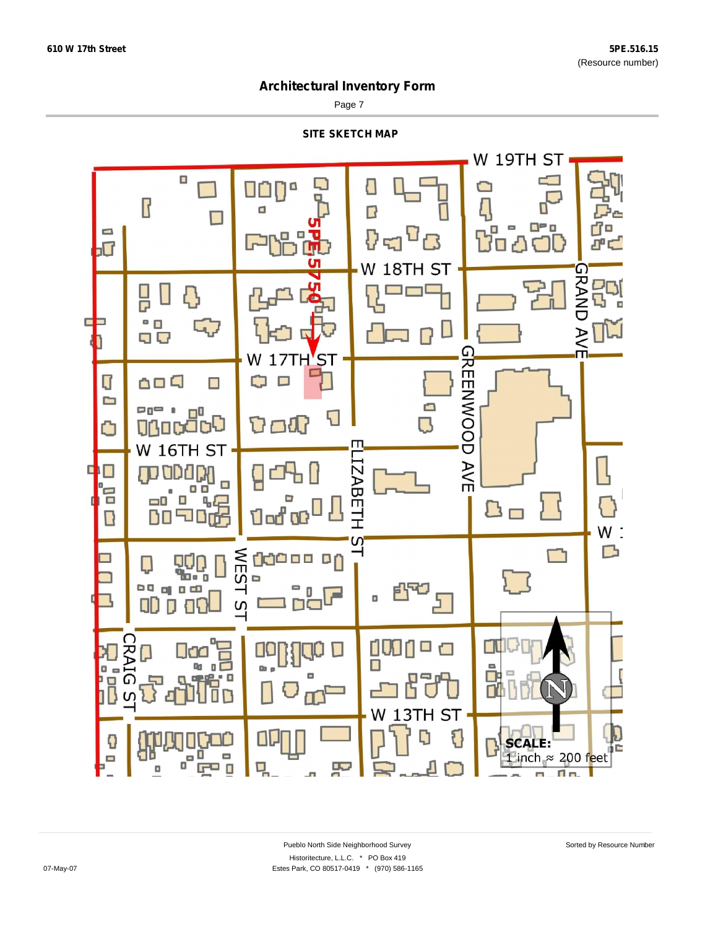Page 7